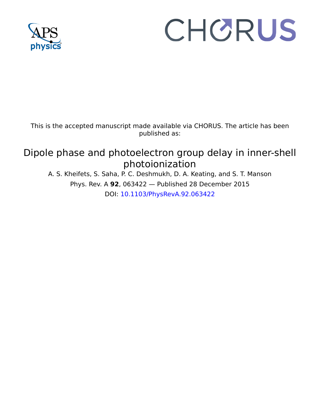

# CHORUS

This is the accepted manuscript made available via CHORUS. The article has been published as:

# Dipole phase and photoelectron group delay in inner-shell photoionization

A. S. Kheifets, S. Saha, P. C. Deshmukh, D. A. Keating, and S. T. Manson Phys. Rev. A **92**, 063422 — Published 28 December 2015 DOI: [10.1103/PhysRevA.92.063422](http://dx.doi.org/10.1103/PhysRevA.92.063422)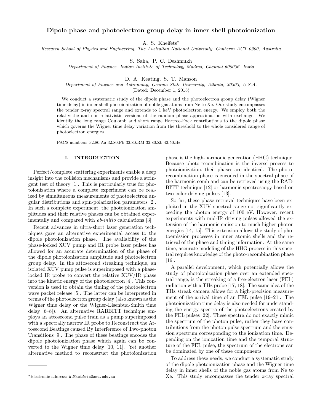# Dipole phase and photoelectron group delay in inner shell photoionization

A. S. Kheifets<sup>∗</sup>

Research School of Physics and Engineering, The Australian National University, Canberra ACT 0200, Australia

S. Saha, P. C. Deshmukh

Department of Physics, Indian Institute of Technology Madras, Chennai-600036, India

D. A. Keating, S. T. Manson

Department of Physics and Astronomy, Georgia State University, Atlanta, 30303, U.S.A.

(Dated: December 1, 2015)

We conduct a systematic study of the dipole phase and the photoelectron group delay (Wigner time delay) in inner shell photoionization of noble gas atoms from Ne to Xe. Our study encompasses the tender x-ray spectral range and extends to 1 keV photoelectron energy. We employ both the relativistic and non-relativistic versions of the random phase approximation with exchange. We identify the long range Coulomb and short range Hartree-Fock contributions to the dipole phase which governs the Wigner time delay variation from the threshold to the whole considered range of photoelectron energies.

PACS numbers: 32.80.Aa 32.80.Fb 32.80.RM 32.80.Zb 42.50.Hz

### I. INTRODUCTION

Perfect/complete scattering experiments enable a deep insight into the collision mechanisms and provide a stringent test of theory [1]. This is particularly true for photoionization where a complete experiment can be realized by simultaneous measurements of photoelectron angular distributions and spin-polarization parameters [2]. In such a complete experiment, the photoionization amplitudes and their relative phases can be obtained experimentally and compared with *ab-initio* calculations [3].

Recent advances in ultra-short laser generation techniques gave an alternative experimental access to the dipole photoionization phase. The availability of the phase-locked XUV pump and IR probe laser pulses has allowed for an accurate determination of the phase of the dipole photoionization amplitude and photoelectron group delay. In the attosecond streaking technique, an isolated XUV pump pulse is superimposed with a phaselocked IR probe to convert the relative XUV/IR phase into the kinetic energy of the photoelectron [4]. This conversion is used to obtain the timing of the photoelectron wave packet release [5]. The latter can be interpreted in terms of the photoelectron group delay (also known as the Wigner time delay or the Wigner-Eisenbud-Smith time delay [6–8]). An alternative RABBITT technique employs an attosecond pulse train as a pump superimposed with a spectrally narrow IR probe to Reconstruct the Attosecond Beatings caused By Interference of Two-photon Transitions [9]. The phase of these beatings encodes the dipole photoionization phase which again can be converted to the Wigner time delay [10, 11]. Yet another alternative method to reconstruct the photoionization phase is the high-harmonic generation (HHG) technique. Because photo-recombination is the inverse process to photoionization, their phases are identical. The photorecombination phase is encoded in the spectral phase of the harmonic comb and can be retrieved using the RAB-BITT technique [12] or harmonic spectroscopy based on two-color driving pulses [13].

So far, these phase retrieval techniques have been exploited in the XUV spectral range not significantly exceeding the photon energy of 100 eV. However, recent experiments with mid-IR driving pulses allowed the extension of the harmonic emission to much higher photon energies [14, 15]. This extension allows the study of photoemission processes in inner atomic shells and the retrieval of the phase and timing information. At the same time, accurate modeling of the HHG process in this spectral requires knowledge of the photo-recombination phase [16].

A parallel development, which potentially allows the study of photoionization phase over an extended spectral range, is the streaking of a free-electron laser (FEL) radiation with a THz probe [17, 18]. The same idea of the THz streak camera allows for a high-precision measurement of the arrival time of an FEL pulse [19–21]. The photoionization time delay is also needed for understanding the energy spectra of the photoelectrons created by the FEL pulses [22]. These spectra do not exactly mimic the spectrum of the photon pulse, rather they have contributions from the photon pulse spectrum and the emission spectrum corresponding to the ionization time. Depending on the ionization time and the temporal structure of the FEL pulse, the spectrum of the electrons can be dominated by one of these components.

To address these needs, we conduct a systematic study of the dipole photoionization phase and the Wigner time delay in inner shells of the noble gas atoms from Ne to Xe. This study encompasses the tender x-ray spectral

<sup>∗</sup>Electronic address: A.Kheifets@anu.edu.au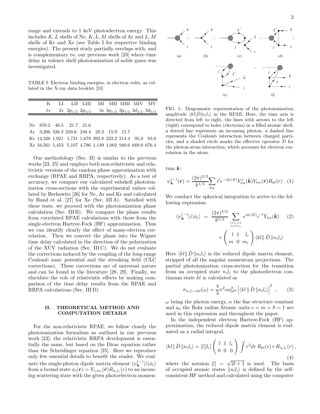range and extends to 1 keV photoelectron energy. This includes  $K, L$  shells of Ne,  $K, L, M$  shells of Ar and  $L, M$ shells of Kr and Xe (see Table I for respective binding energies). The present study partially overlaps with, and is complementary to, our previous work [23] where time delay in valence shell photoionization of noble gases was investigated.

TABLE I: Electron binding energies, in electron volts, as collated in the X-ray data booklet [24]

| K                                                         | - LT | LII LIII - MI - MII - MIII - MIV - MV                            |  |  |  |
|-----------------------------------------------------------|------|------------------------------------------------------------------|--|--|--|
|                                                           |      | 1s 2s $2p_{1/2} 2p_{3/2} 3s 3p_{1/2} 3p_{3/2} 3d_{3/2} 3d_{5/2}$ |  |  |  |
|                                                           |      |                                                                  |  |  |  |
| Ne 870.2 48.5 21.7 21.6                                   |      |                                                                  |  |  |  |
| Ar 3,206 326.3 250.6. 248.4 29.3 15.9 15.7                |      |                                                                  |  |  |  |
| Kr 14,326 1,921 1,731 1,678 292.8 222.2 214.4 95.0 93.8   |      |                                                                  |  |  |  |
| Xe 34,561 5,453 5,107 4,786 1,149 1,002 940.6 689.0 676.4 |      |                                                                  |  |  |  |

Our methodology (Sec. II) is similar to the previous works [23, 25] and employs both non-relativistic and relativistic versions of the random phase approximation with exchange (RPAE and RRPA, respectively). As a test of accuracy, we compare our calculated subshell photoionization cross-sections with the experimental values collated by Berkowitz [26] for Ne, Ar and Kr and calculated by Band et al. [27] for Xe (Sec. III A). Satisfied with these tests, we proceed with the photoionization phase calculation (Sec. III B). We compare the phase results from correlated RPAE calculations with those from the single-electron Hartree-Fock (HF) approximation. Thus we can identify clearly the effect of many-electron correlation. Then we convert the phase into the Wigner time delay calculated in the direction of the polarization of the XUV radiation (Sec. III C). We do not evaluate the corrections induced by the coupling of the long-range Coulomb ionic potential and the streaking field (CLC corrections). These corrections are of universal nature and can be found in the literature [28, 29]. Finally, we elucidate the role of relativistic effects by making comparison of the time delay results from the RPAE and RRPA calculations (Sec. III D)

## II. THEORETICAL METHOD AND COMPUTATION DETAILS

For the non-relativistic RPAE, we follow closely the photoionization formalism as outlined in our previous work [23]; the relativistic RRPA development is essentially the same, but based on the Dirac equation rather than the Schrödinger equation [25]. Here we reproduce only few essential details to benefit the reader. We evaluate the single-photon dipole matrix element  $\langle \psi_{\mathbf{k}}^{(-)} | \hat{z} | \phi_i \rangle$ from a bound state  $\phi_i(\mathbf{r}) = Y_{l_i m_i}(\hat{\mathbf{r}}) R_{n_i l_i}(r)$  to an incoming scattering state with the given photoelectron momen-



FIG. 1: Diagramatic representation of the photoionization amplitude  $\langle kl|\hat{D}|n_il_i\rangle$  in the RPAE. Here, the time axis is directed from left to right, the lines with arrows to the left (right) correspond to holes (electrons) in a filled atomic shell, a dotted line represents an incoming photon, a dashed line represents the Coulomb interaction between charged particles, and a shaded circle marks the effective operator Dˆ for the photon-atom interaction, which accounts for electron correlation in the atom.

tum  $k$ :

$$
\psi_{\mathbf{k}}^{(-)}(\mathbf{r}) = \frac{(2\pi)^{3/2}}{k^{1/2}} \sum_{lm} i^l e^{-i\delta_l(E)} Y_{lm}^*(\hat{\mathbf{k}}) Y_{lm}(\hat{\mathbf{r}}) R_{kl}(r) \ . \ (1)
$$

We conduct the spherical integration to arrive to the following expression:

$$
\langle \psi_{\mathbf{k}}^{(-)}|\hat{z}|\phi_i \rangle = \frac{(2\pi)^{3/2}}{k^{1/2}} \sum_{\substack{l=l_i \pm 1 \\ m=m_i}} e^{i\delta_l(E)} i^{-l} Y_{lm}(\hat{\mathbf{k}}) \qquad (2)
$$

$$
\times \left(\begin{array}{cc} l & 1 & l_i \\ m & 0 & m_i \end{array}\right) \langle kl||\hat{D}||n_i l_i \rangle
$$

Here  $\langle kl \Vert \hat{D} \Vert n_i l_i \rangle$  is the reduced dipole matrix element, stripped of all the angular momentum projections. The partial photoionization cross-section for the transition from an occupied state  $n_i l_i$  to the photoelectron continuum state kl is calculated as

$$
\sigma_{n_i l_i \to kl}(\omega) = \frac{4}{3} \pi^2 \alpha a_0^2 \omega \left| \langle kl \parallel \hat{D} \parallel n_i l_i \rangle \right|^2 , \qquad (3)
$$

 $\omega$  being the photon energy,  $\alpha$  the fine structure constant and  $a_0$  the Bohr radius Atomic units  $e = m = \hbar = 1$  are used in this expression and throughout the paper.

In the independent electron Hartree-Fock (HF) approximation, the reduced dipole matrix element is evaluated as a radial integral,

$$
\langle kl \parallel \hat{D} \parallel n_i l_i \rangle = [l][l_i] \begin{pmatrix} l & 1 & l_i \\ 0 & 0 & 0 \end{pmatrix} \int r^2 dr R_{kl}(r) r R_{n_i l_i}(r) ,
$$
\n(4)

where the notaion  $[l] = \sqrt{2l+1}$  is used. The basis of occupied atomic states  $\|n_i l_i\rangle$  is defined by the selfconsistent HF method and calculated using the computer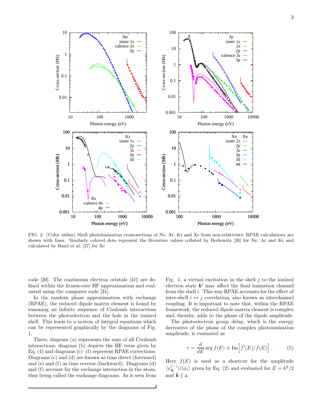

FIG. 2: (Color online) Shell photoionization cross-sections of Ne, Ar, Kr and Xe from non-relativistic RPAE calculations are shown with lines. Similarly colored dots represent the literature values collated by Berkowitz [26] for Ne, Ar and Kr and calculated by Band et al. [27] for Xe

code [30]. The continuum electron orbitals  $\langle kl \rangle$  are defined within the frozen-core HF approximation and evaluated using the computer code [31].

In the random phase approximation with exchange (RPAE), the reduced dipole matrix element is found by summing an infinite sequence of Coulomb interactions between the photoelectron and the hole in the ionized shell. This leads to a system of integral equations which can be represented graphically by the diagrams of Fig. 1.

There, diagram (a) represents the sum of all Coulomb interactions, diagram (b) depicts the HF term given by Eq. (4) and diagrams  $(c)$ –(f) represent RPAE corrections. Diagrams (c) and (d) are known as time direct (foreward) and (e) and (f) as time reverse (backward). Diagrams (d) and (f) account for the exchange interaction in the atom, thus being called the exchange diagrams. As is seen from Fig. 1, a virtual excitation in the shell  $j$  to the ionized electron state  $k'$  may affect the final ionization channel from the shell  $i$ . This way RPAE accounts for the effect of inter-shell  $i \leftrightarrow j$  correlation, also known as interchannel coupling. It is important to note that, within the RPAE framework, the reduced dipole matrix element is complex and, thereby, adds to the phase of the dipole amplitude.

The photoelectron group delay, which is the energy derivative of the phase of the complex photoionization amplitude, is evaluated as

$$
\tau = \frac{d}{dE} \arg f(E) \equiv \text{Im} \Big[ f'(E)/f(E) \Big] . \tag{5}
$$

Here  $f(E)$  is used as a shortcut for the amplitude  $\langle \psi_{\mathbf{k}}^{(-)} | \hat{z} | \phi_i \rangle$  given by Eq. (2) and evaluated for  $E = k^2/2$ and  $\hat{k} \parallel z$ .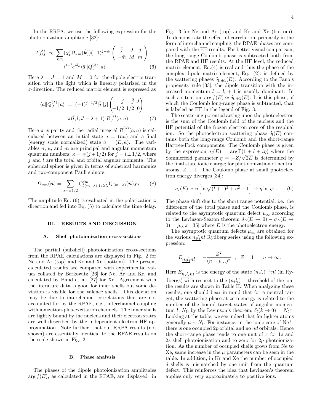In the RRPA, we use the following expression for the photoionization amplitude [32]:

$$
T_{JM}^{(\lambda)} \propto \sum_{\bar{\kappa}\bar{m}} (\chi_{\nu}^{\dagger} \Omega_{\bar{\kappa}\bar{m}}(\hat{\boldsymbol{k}})) (-1)^{\bar{j} - \bar{m}} \begin{pmatrix} \bar{j} & J & j \\ -\bar{m} & M & m \end{pmatrix}
$$

$$
i^{1 - \bar{l}} e^{i\delta_{\bar{\kappa}}} \langle \bar{a} || Q_{J}^{(\lambda)} || a \rangle . \qquad (6)
$$

Here  $\lambda = J = 1$  and  $M = 0$  for the dipole electric transition with the light which is linearly polarized in the z-direction. The reduced matrix element is expressed as

$$
\langle \bar{a} \| Q_J^{(\lambda)} \| a \rangle = (-1)^{j+1/2} [\bar{j}] [j] \begin{pmatrix} j & \bar{j} & J \\ -1/2 & 1/2 & 0 \end{pmatrix}
$$

$$
\pi(\bar{l}, l, J - \lambda + 1) R_J^{(\lambda)}(\bar{a}, a) \tag{7}
$$

Here  $\pi$  is parity and the radial integral  $R_J^{(\lambda)}$  $J^{(\lambda)}(\bar{a}, a)$  is calculated between an initial state  $a = (n\kappa)$  and a final (energy scale normalized) state  $\bar{a} = (E, \bar{\kappa})$ . The variables  $n, \kappa$ , and  $m$  are principal and angular momentum quantum numbers;  $\kappa = \pm (j + 1/2)$  for  $j = l \pm 1/2$ , where  $j$  and  $l$  are the total and orbital angular momenta. The spherical spinor is given in terms of spherical harmonics and two-component Pauli spinors:

$$
\Omega_{\kappa m}(\hat{\boldsymbol{n}}) = \sum_{\lambda = \pm 1/2} C_{l(m-\lambda),1/2\,\lambda}^{jm} Y_{l(m-\lambda)}(\hat{\boldsymbol{n}}) \chi_{\lambda}
$$
(8)

The amplitude Eq.  $(6)$  is evaluated in the polarization z direction and fed into Eq. (5) to calculate the time delay.

#### III. RESULTS AND DISCUSSION

#### A. Shell photoionization cross-sections

The partial (subshell) photoionization cross-sections from the RPAE calculations are displayed in Fig. 2 for Ne and Ar (top) and Kr and Xe (bottom). The present calculated results are compared with experimental values collated by Berkowitz [26] for Ne, Ar and Kr, and calculated by Band et al. [27] for Xe. Agreement with the literature data is good for inner shells but some deviation is visible for the valence shells. This deviation may be due to interchannel correlations that are not accounted for by the RPAE, e.g., interchannel coupling with ionization-plus-excitation channels. The inner shells are tightly bound by the nucleus and their electron states are well described by the independent electron HF approximation. Note further, that our RRPA results (not shown) are essentially identical to the RPAE results on the scale shown in Fig. 2.

#### B. Phase analysis

The phases of the dipole photoionization amplitudes  $\arg f(E)$ , as calculated in the RPAE, are displayed in

Fig. 3 for Ne and Ar (top) and Kr and Xe (bottom). To demonstrate the effect of correlation, primarily in the form of interchannel coupling, the RPAE phases are compared with the HF results. For better visual comparison, the long-range Coulomb phase is subtracted both from the RPAE and HF results. At the HF level, the reduced matrix element, Eq.(4) is real and thus the phase of the complex dipole matrix element, Eq. (2), is defined by the scattering phases  $\delta_{l_i\pm 1}(E)$ . According to the Fano's propensity rule [33], the dipole transition with the increased momentum  $l = l_i + 1$  is usually dominant. In such a situation,  $\arg f(E) \simeq \delta_{l_i+1}(E)$ . It is this phase, of which the Coulomb long-range phase is subtracted, that is labeled as HF in the legend of Fig. 3.

The scattering potential acting upon the photoelectron is the sum of the Coulomb field of the nucleus and the HF potential of the frozen electron core of the residual ion. So the photoelectron scattering phase  $\delta_l(E)$  contains both the long-range Coulomb and the short-range Hartree-Fock components. The Coulomb phase is given by the expression  $\sigma_l(E) = \arg \Gamma(1 + l + i\eta)$  where the Sommerfeld parameter  $\eta = -Z/\sqrt{2E}$  is determined by the final state ionic charge; for photoionization of neutral atoms,  $Z \equiv 1$ . The Coulomb phase at small photoelectron energy diverges [34]:

$$
\sigma_l(E) \simeq \eta \left[ \ln \sqrt{(l+1)^2 + \eta^2} - 1 \right] \to \eta \ln |\eta| \ . \tag{9}
$$

The phase shift due to the short range potential, i.e. the difference of the total phase and the Coulomb phase, is related to the asymptotic quantum defect  $\mu_{\infty}$  according to the Levinson-Seaton theorem  $\delta_L(E \to 0) - \sigma_L(E \to 0)$ 0) =  $\mu_{\infty} \pi$  [35] where E is the photoelectron energy.

The asymptotic quantum defects  $\mu_{\infty}$  are obtained for the various  $n<sub>i</sub> l<sub>i</sub> nl$  Rydberg series using the following expression:

$$
E_{\underline{n_i l_i} n l} = -\frac{Z^2}{(n - \mu_\infty)^2} \quad , \quad Z = 1 \quad , \quad n \to \infty.
$$

Here  $E_{n_i l_i n l}$  is the energy of the state  $(n_i l_i)^{-1} n l$  (in Rydbergs) with respect to the  $(n_i l_i)^{-1}$  threshold of the ion; the results are shown in Table II. When analyzing these results, one should bear in mind that for a neutral target, the scattering phase at zero energy is related to the number of the bound target states of angular momentum l,  $N_l$ , by the Levinson's theorem,  $\delta_l(k \to 0) = N_l \pi$ . Looking at the table, we see indeed that for lighter atoms generally  $\mu \sim N_l$ . For instance, in the ionic core of Ne<sup>+</sup>, there is one occupied 2p orbital and no nd orbitals. Hence the short-range phase tends to one unit of  $\pi$  for 1s and 2s shell photoionization and to zero for 2p photoionization. As the number of occupied shells grows from Ne to Xe, same increase in the  $\mu$  parameters can be seen in the table. In addition, in Kr and Xe the number of occupied d shells is mismatched by one unit from the quantum defect. This reinforces the idea that Levinson's theorem applies only very approximately to positive ions.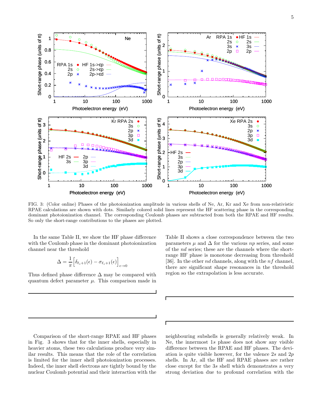

FIG. 3: (Color online) Phases of the photoionization amplitude in various shells of Ne, Ar, Kr and Xe from non-relativistic RPAE calculations are shown with dots. Similarly colored solid lines represent the HF scattering phase in the corresponding dominant photoionization channel. The corresponding Coulomb phases are subtracted from both the RPAE and HF results. So only the short-range contributions to the phases are plotted.

In the same Table II, we show the HF phase difference with the Coulomb phase in the dominant photoionization channel near the threshold

$$
\Delta = \frac{1}{\pi} \Big[ \delta_{\ell_i+1}(\epsilon) - \sigma_{\ell_i+1}(\epsilon) \Big]_{\epsilon \to 0}
$$

Thus defined phase difference  $\Delta$  may be compared with quantum defect parameter  $\mu$ . This comparison made in

Table II shows a close correspondence between the two parameters  $\mu$  and  $\Delta$  for the various np series, and some of the nd series; these are the channels where the shortrange HF phase is monotone decreasing from threshold [36]. In the other *nd* channels, along with the  $nf$  channel, there are significant shape resonances in the threshold region so the extrapolation is less accurate.

Comparison of the short-range RPAE and HF phases in Fig. 3 shows that for the inner shells, especially in heavier atoms, these two calculations produce very similar results. This means that the role of the correlation is limited for the inner shell photoionization processes. Indeed, the inner shell electrons are tightly bound by the nuclear Coulomb potential and their interaction with the

neighbouring subshells is generally relatively weak. In Ne, the innermost 1s phase does not show any visible difference between the RPAE and HF phases. The deviation is quite visible however, for the valence 2s and 2p shells. In Ar, all the HF and RPAE phases are rather close except for the 3s shell which demonstrates a very strong deviation due to profound correlation with the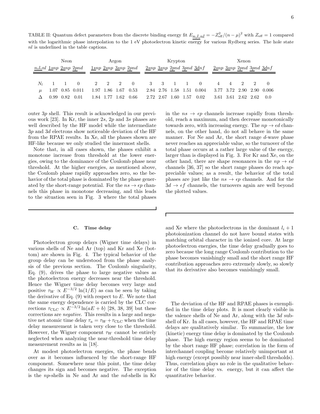TABLE II: Quantum defect parameters from the discrete binding energy fit  $E_{n_i l_i n l} = -Z_{\text{eff}}^2/(n - \mu)^2$  with  $Z_{\text{eff}} = 1$  compared with the logarithmic phase interpolation to the 1 eV photoelectron kinetic energy for various Rydberg series. The hole state nl is underlined in the table captions.

| Neon                         |             |                      | Argon                                                  |                     |  | Krypton                      |  |                 |  |  | Xenon                        |                           |           |  |  |                     |                           |
|------------------------------|-------------|----------------------|--------------------------------------------------------|---------------------|--|------------------------------|--|-----------------|--|--|------------------------------|---------------------------|-----------|--|--|---------------------|---------------------------|
| $n_i l_i n l$ 1snp 2snp 2pnd |             |                      | $\frac{1s}{np}$ $\frac{2s}{np}$ $\frac{3s}{np}$ $2pnd$ |                     |  | $2snp$ 3snp 2pnd 3pnd $3dnf$ |  |                 |  |  | $2snp$ 3snp 2pnd 3pnd $3dhf$ |                           |           |  |  |                     |                           |
|                              |             |                      |                                                        |                     |  |                              |  |                 |  |  |                              |                           |           |  |  |                     |                           |
|                              | $N_1$ 1 1 0 |                      |                                                        |                     |  |                              |  | 2 2 2 0 3 3 1 1 |  |  |                              |                           | 0 4 4 2 2 |  |  |                     |                           |
| $\mu$                        |             |                      | 1.07 0.85 0.011                                        |                     |  | $1.97$ $1.86$ $1.67$ $0.53$  |  |                 |  |  |                              | 2.84 2.76 1.58 1.51 0.004 |           |  |  |                     | 3.77 3.72 2.90 2.90 0.006 |
|                              |             | $0.99$ $0.82$ $0.01$ |                                                        | 1.84 1.77 1.62 0.66 |  |                              |  |                 |  |  |                              | 2.72 2.67 1.60 1.57 0.02  |           |  |  | 3.61 3.61 2.62 2.62 | 0.0                       |

outer 3p shell. This result is acknowledged in our previous work [23]. In Kr, the inner 2s, 2p and 3s phases are well described by the HF model while the intermediate 3p and 3d electrons show noticeable deviation of the HF from the RPAE results. In Xe, all the phases shown are HF-like because we only studied the innermost shells.

Note that, in all cases shown, the phases exhibit a monotone increase from threshold at the lower energies, owing to the dominance of the Coulomb phase near threshold. At the higher energies, as mentioned above, the Coulomb phase rapidly approaches zero, so the behavior of the total phase is dominated by the phase generated by the short-range potential. For the  $ns \to \epsilon p$  channels this phase in monotone decreasing, and this leads to the situation seen in Fig. 3 where the total phases

#### C. Time delay

Photoelectron group delays (Wigner time delays) in various shells of Ne and Ar (top) and Kr and Xe (bottom) are shown in Fig. 4. The typical behavior of the group delay can be understood from the phase analysis of the previous section. The Coulomb singularity, Eq. (9), drives the phase to large negative values as the photoelectron energy decreases near the threshold. Hence the Wigner time delay becomes very large and positive  $\tau_W \propto E^{-3/2} \ln(1/E)$  as can be seen by taking the derivative of Eq.  $(9)$  with respect to E. We note that the same energy dependence is carried by the CLC corrections  $\tau_{\text{CLC}} \propto E^{-3/2} \ln(aE + b)$  [28, 38, 39] but these corrections are negative. This results in a large and negative net atomic time delay  $\tau_a = \tau_W + \tau_{\text{CLC}}$  when the time delay measurement is taken very close to the threshold. However, the Wigner component  $\tau_W$  cannot be entirely neglected when analyzing the near-threshold time delay measurement results as in [18].

At modest photoelectron energies, the phase bends over as it becomes influenced by the short-range HF component. Somewhere near this point, the time delay changes its sign and becomes negative. The exception is the np-shells in Ne and Ar and the nd-shells in Kr

in the  $ns \rightarrow \epsilon p$  channels increase rapidly from threshold, reach a maximum, and then decrease monotonically towards zero, with increasing energy. The  $np \to \epsilon d$  channels, on the other hand, do not all behave in the same manner. For Ne and Ar, the short range  $d$ -wave phase never reaches an appreciable value, so the turnover of the total phase occurs at a rather large value of the energy, larger than is displayed in Fig. 3. For Kr and Xe, on the other hand, there are shape resonances in the  $np \to \epsilon d$ channels [36, 37] so the short range phases do reach appreciable values; as a result, the behavior of the total phases are just like the  $ns \to \epsilon p$  channels. And for the  $3d \rightarrow \epsilon f$  channels, the turnovers again are well beyond the plotted values.

and Xe where the photoelectrons in the dominant  $l_i + 1$ photoionization channel do not have bound states with matching orbital character in the ionized core. At large photoelectron energies, the time delay gradually goes to zero because the long range Coulomb contribution to the phase becomes vanishingly small and the short range HF contribution approaches zero extremely slowly, so slowly that its derivative also becomes vanishingly small.

The deviation of the HF and RPAE phases is exemplified in the time delay plots. It is most clearly visible in the valence shells of Ne and Ar, along with the 3d subshell of Kr. In all cases, however, the HF and RPAE time delays are qualitatively similar. To summarize, the low (kinetic) energy time delay is dominated by the Coulomb phase. The high energy region seems to be dominated by the short range HF phase; correlation in the form of interchannel coupling become relatively unimportant at high energy (except possibly near inner-shell thresholds). Thus, correlation plays no role in the qualitative behavior of the time delay vs. energy, but it can affect the quantitative behavior.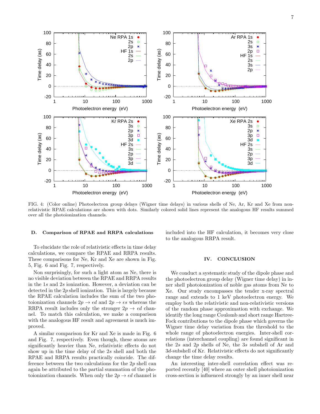

FIG. 4: (Color online) Photoelectron group delays (Wigner time delays) in various shells of Ne, Ar, Kr and Xe from nonrelativistic RPAE calculations are shown with dots. Similarly colored solid lines represent the analogous HF results summed over all the photoionization channels.

#### D. Comparison of RPAE and RRPA calculations

To elucidate the role of relativistic effects in time delay calculations, we compare the RPAE and RRPA results. These comparisons for Ne, Kr and Xe are shown in Fig. 5, Fig. 6 and Fig. 7, respectively.

Non surprisingly, for such a light atom as Ne, there is no visible deviation between the RPAE and RRPA results in the 1s and 2s ionization. However, a deviation can be detected in the  $2p$  shell ionization. This is largely because the RPAE calculation includes the sum of the two photoionization channels  $2p \rightarrow \epsilon d$  and  $2p \rightarrow \epsilon s$  whereas the RRPA result includes only the stronger  $2p \rightarrow \epsilon d$  channel. To match this calculation, we make a comparison with the analogous HF result and agreement is much improved.

A similar comparison for Kr and Xe is made in Fig. 6 and Fig. 7, respectively. Even though, these atoms are significantly heavier than Ne, relativistic effects do not show up in the time delay of the 2s shell and both the RPAE and RRPA results practically coincide. The difference between the two calculations for the  $2p$  shell can again be attributed to the partial summation of the photoionization channels. When only the  $2p \rightarrow \epsilon d$  channel is

included into the HF calculation, it becomes very close to the analogous RRPA result.

#### IV. CONCLUSION

We conduct a systematic study of the dipole phase and the photoelectron group delay (Wigner time delay) in inner shell photoionization of noble gas atoms from Ne to Xe. Our study encompasses the tender x-ray spectral range and extends to 1 keV photoelectron energy. We employ both the relativistic and non-relativistic versions of the random phase approximation with exchange. We identify the long range Coulomb and short range Hartree-Fock contributions to the dipole phase which governs the Wigner time delay variation from the threshold to the whole range of photoelectron energies. Inter-shell correlations (interchannel coupling) are found significant in the 2s and 2p shells of Ne, the 3s subshell of Ar and 3d-subshell of Kr. Relativistic effects do not significantly change the time delay results.

An interesting inter-shell correlation effect was reported recently [40] where an outer shell photoionization cross-section is influenced strongly by an inner shell near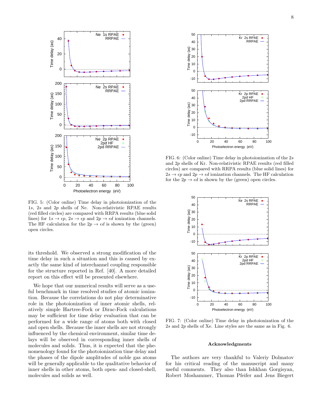

FIG. 5: (Color online) Time delay in photoionization of the 1s, 2s and 2p shells of Ne. Non-relativistic RPAE results (red filled circles) are compared with RRPA results (blue solid lines) for  $1s \to \epsilon p$ ,  $2s \to \epsilon p$  and  $2p \to \epsilon d$  ionization channels. The HF calculation for the  $2p \rightarrow \epsilon d$  is shown by the (green) open circles.

its threshold. We observed a strong modification of the time delay in such a situation and this is caused by exactly the same kind of interchannel coupling responsible for the structure reported in Ref. [40]. A more detailed report on this effect will be presented elsewhere.

We hope that our numerical results will serve as a useful benchmark in time resolved studies of atomic ionization. Because the correlations do not play determinative role in the photoionization of inner atomic shells, relatively simple Hartree-Fock or Dirac-Fock calculations may be sufficient for time delay evaluation that can be performed for a wide range of atoms both with closed and open shells. Because the inner shells are not strongly influenced by the chemical environment, similar time delays will be observed in corresponding inner shells of molecules and solids. Thus, it is expected that the phenomenology found for the photoionization time delay and the phases of the dipole amplitudes of noble gas atoms will be generally applicable to the qualitative behavior of inner shells in other atoms, both open- and closed-shell, molecules and solids as well.



FIG. 6: (Color online) Time delay in photoionization of the 2s and 2p shells of Kr. Non-relativistic RPAE results (red filled circles) are compared with RRPA results (blue solid lines) for  $2s \rightarrow \epsilon p$  and  $2p \rightarrow \epsilon d$  ionization channels. The HF calculation for the  $2p \rightarrow \epsilon d$  is shown by the (green) open circles.



FIG. 7: (Color online) Time delay in photoionization of the 2s and 2p shells of Xe. Line styles are the same as in Fig. 6.

#### Acknowledgments

The authors are very thankful to Valeriy Dolmatov for his critical reading of the manuscript and many useful comments. They also than Ishkhan Gorgisyan, Robert Moshammer, Thomas Pfeifer and Jens Biegert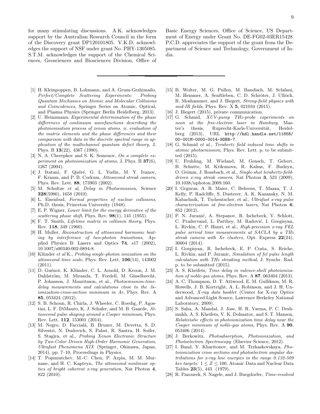for many stimulating discussions. A.K. acknowledges support by the Australian Research Council in the form of the Discovery grant DP120101805. V.K.D. acknowledges the support of NSF under grant No. PHY-1305085. S.T.M. acknowledges the support of the Chemical Sciences, Geosciences and Biosciences Division, Office of Basic Energy Sciences, Office of Science, US Department of Energy under Grant No. DE-FG02-03ER15428. P.C.D. appreciates the support of the grant from the Department of Science and Technology, Government of India.

- [1] H. Kleinpoppen, B. Lohmann, and A. Grum-Grzhimailo, Perfect/Complete Scattering Experiments: Probing Quantum Mechanics on Atomic and Molecular Collisions and Coincidences, Springer Series on Atomic, Optical, and Plasma Physics (Springer Berlin Heidelberg, 2013).
- [2] U. Heinzmann, Experimental determination of the phase differences of continuum wavefunctions describing the photoionisation process of xenon atoms. ii. evaluation of the matrix elements and the phase differences and their comparison with data in the discrete spectral range in application of the multichannel quantum defect theory, J. Phys. B 13(22), 4367 (1980).
- [3] N. A. Cherepkov and S. K. Semenov, On a complete experiment on photoionization of atoms, J. Phys. B  $37(6)$ , 1267 (2004).
- [4] J. Itatani, F. Quéré, G. L. Yudin, M. Y. Ivanov, F. Krausz, and P. B. Corkum, Attosecond streak camera, Phys. Rev. Lett. 88, 173903 (2002).
- [5] M. Schultze et al, Delay in Photoemission, Science 328(5986), 1658 (2010).
- [6] L. Eisenbud, Formal properties of nuclear collisions, Ph.D. thesis, Princeton University (1948).
- [7] E. P. Wigner, Lower limit for the energy derivative of the scattering phase shift, Phys. Rev.  $98(1)$ , 145 (1955).
- [8] F. T. Smith, *Lifetime matrix in collision theory*, Phys. Rev. 118, 349 (1960).
- [9] H. Muller, Reconstruction of attosecond harmonic beating by interference of two-photon transitions, Applied Physics B: Lasers and Optics 74, s17 (2002), 10.1007/s00340-002-0894-8.
- [10] Klünder et al K., Probing single-photon ionization on the attosecond time scale, Phys. Rev. Lett. 106(14), 143002 (2011).
- [11] D. Guénot, K. Klünder, C. L. Arnold, D. Kroon, J. M. Dahlström, M. Miranda, T. Fordell, M. Gisselbrecht, P. Johnsson, J. Mauritsson, et al., Photoemission-timedelay measurements and calculations close to the 3sionization-cross-section minimum in Ar, Phys. Rev. A 85, 053424 (2012).
- [12] S. B. Schoun, R. Chirla, J. Wheeler, C. Roedig, P. Agostini, L. F. DiMauro, K. J. Schafer, and M. B. Gaarde, Attosecond pulse shaping around a Cooper minimum, Phys. Rev. Lett. 112, 153001 (2014).
- [13] M. Negro, D. Faccialá, B. Bruner, M. Devetta, S. D. Silvestri, N. Dudovich, S. Pabst, R. Santra, H. Soifer, S. Stagira, et al., Probing Xenon Electronic Structure by Two-Color Driven High-Order Harmonic Generation, Ultrafast Phenomena XIX (Springer, Okinawa, Japan, 2014), pp. 7–10, Proceedings in Physics.
- [14] T. Popmintchev, M.-C. Chen, P. Arpin, M. M. Murnane, and H. C. Kapteyn, The attosecond nonlinear optics of bright coherent x-ray generation, Nat Photon 4, 822 (2010).
- [15] B. Wolter, M. G. Pullen, M. Baudisch, M. Sclafani, M. Hemmer, A. Senftleben, C. D. Schröter, J. Ullrich, R. Moshammer, and J. Biegert, Strong-field physics with mid-IR fields, Phys. Rev. X 5, 021034 (2015).
- [16] J. Biegert (2015), private communication.
- [17] G. Schmid, XUV-pump THz-probe experiments on neon at the free-electron laser in Hamburg, Master's thesis, Ruprecht-Karls-Universität, Heidelberg (2013), URL http://hdl.handle.net/11858/ 00-001M-0000-0014-9DBB-7.
- [18] G. Schmid et al., Terahertz field induced time shifts in atomic photoemission, Phys. Rev. Lett. p. to be submitted (2015).
- [19] U. Fruhling, M. Wieland, M. Gensch, T. Gebert, B. Schutte, M. Krikunova, R. Kalms, F. Budzyn, O. Grimm, J. Rossbach, et al., Single-shot terahertz-fielddriven x-ray streak camera, Nat Photon 3, 523 (2009), 10.1038/nphoton.2009.160.
- [20] I. Grguras, A. R. Maier, C. Behrens, T. Mazza, T. J. Kelly, P. Radcliffe, S. Dusterer, A. K. Kazansky, N. M. Kabachnik, T. Tschentscher, et al., Ultrafast x-ray pulse characterization at free-electron lasers, Nat Photon 6, 852 (2012).
- [21] P. N. Juranić, A. Stepanov, R. Ischebeck, V. Schlott, C. Pradervand, L. Patthey, M. Radović, I. Gorgisyan, L. Rivkin, C. P. Hauri, et al., High-precision x-ray FEL pulse arrival time measurements at SACLA by a THz streak camera with Xe clusters, Opt. Express  $22(24)$ , 30004 (2014).
- [22] I. Gorgisyan, R. Ischebeck, E. P. Costa, S. Reiche, L. Rivkin, and P. Juranic, Simulation of fel pulse length calculation with THz streaking method, J. Synchr. Rad. p. to be submitted (2015).
- [23] A. S. Kheifets, *Time delay in valence-shell photoioniza*tion of noble-gas atoms, Phys. Rev. A 87, 063404 (2013).
- [24] A. C. Thompson, D. T. Attwood, E. M. Gullikson, M. R. Howells, J. B. Kortright, A. L. Robinson, and J. H. Underwood, X-ray data booklet (Center for X-ray Optics and Advanced Light Source, Lawrence Berkeley National Laboratory, 2009).
- [25] S. Saha, A. Mandal, J. Jose, H. R. Varma, P. C. Deshmukh, A. S. Kheifets, V. K. Dolmatov, and S. T. Manson, Relativistic effects in photoionization time delay near the Cooper minimum of noble-gas atoms, Phys. Rev. A **90**, 053406 (2014).
- [26] J. Berkowitz, Photoabsorption, Photoionization, and Photoelectron Spectroscopy (Elsevier Science, 2012).
- [27] I. Band, Y. Kharitonov, and M. Trzhaskovskaya, Photoionization cross sections and photoelectron angular distributions for x-ray line energies in the range 0.132-509  $kev$  targets:  $1 \leq Z \leq 100,$  Atomic Data and Nuclear Data Tables 23(5), 443 (1979).
- [28] R. Pazourek, S. Nagele, and J. Burgdorfer, Time-resolved